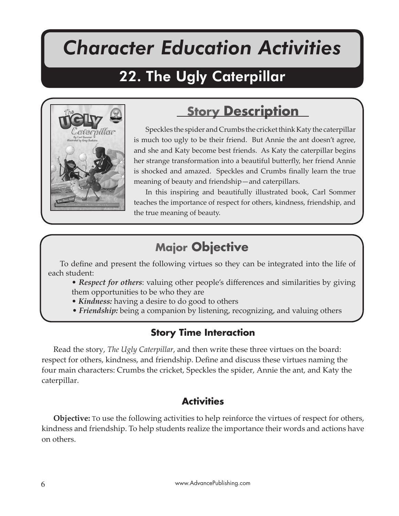# *Character Education Activities*

The Ugly Caterpillar

# 22. The Ugly Caterpillar



# **Story Description**

Speckles the spider and Crumbs the cricket think Katy the caterpillar is much too ugly to be their friend. But Annie the ant doesn't agree, and she and Katy become best friends. As Katy the caterpillar begins her strange transformation into a beautiful butterfly, her friend Annie is shocked and amazed. Speckles and Crumbs finally learn the true meaning of beauty and friendship—and caterpillars.

In this inspiring and beautifully illustrated book, Carl Sommer teaches the importance of respect for others, kindness, friendship, and the true meaning of beauty.

## **Major Objective**

To define and present the following virtues so they can be integrated into the life of each student:

- *Respect for others*: valuing other people's differences and similarities by giving them opportunities to be who they are
- *Kindness:* having a desire to do good to others
- *Friendship:* being a companion by listening, recognizing, and valuing others

### **Story Time Interaction**

Read the story, *The Ugly Caterpillar*, and then write these three virtues on the board: respect for others, kindness, and friendship. Define and discuss these virtues naming the four main characters: Crumbs the cricket, Speckles the spider, Annie the ant, and Katy the caterpillar.

### **Activities**

**Objective:** To use the following activities to help reinforce the virtues of respect for others, kindness and friendship. To help students realize the importance their words and actions have on others.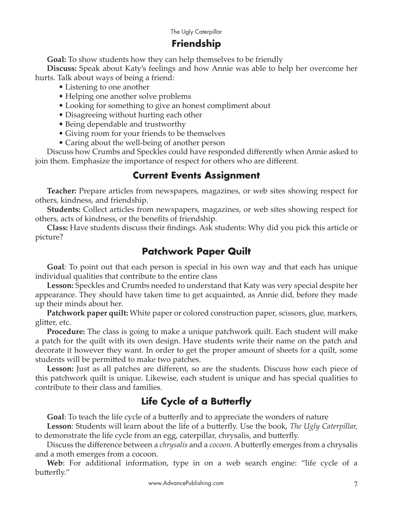#### **Friendship**

**Goal:** To show students how they can help themselves to be friendly

**Discuss:** Speak about Katy's feelings and how Annie was able to help her overcome her hurts. Talk about ways of being a friend:

- Listening to one another
- Helping one another solve problems
- Looking for something to give an honest compliment about
- Disagreeing without hurting each other
- Being dependable and trustworthy
- Giving room for your friends to be themselves
- Caring about the well-being of another person

Discuss how Crumbs and Speckles could have responded differently when Annie asked to join them. Emphasize the importance of respect for others who are different.

#### **Current Events Assignment**

**Teacher:** Prepare articles from newspapers, magazines, or web sites showing respect for others, kindness, and friendship.

**Students:** Collect articles from newspapers, magazines, or web sites showing respect for others, acts of kindness, or the benefits of friendship.

**Class:** Have students discuss their findings. Ask students: Why did you pick this article or picture?

#### **Patchwork Paper Quilt**

**Goal**: To point out that each person is special in his own way and that each has unique individual qualities that contribute to the entire class

**Lesson:** Speckles and Crumbs needed to understand that Katy was very special despite her appearance. They should have taken time to get acquainted, as Annie did, before they made up their minds about her.

**Patchwork paper quilt:** White paper or colored construction paper, scissors, glue, markers, gli�er, etc.

**Procedure:** The class is going to make a unique patchwork quilt. Each student will make a patch for the quilt with its own design. Have students write their name on the patch and decorate it however they want. In order to get the proper amount of sheets for a quilt, some students will be permitted to make two patches.

**Lesson:** Just as all patches are different, so are the students. Discuss how each piece of this patchwork quilt is unique. Likewise, each student is unique and has special qualities to contribute to their class and families.

### **Life Cycle of a Butterfly**

**Goal**: To teach the life cycle of a bu�erfly and to appreciate the wonders of nature

**Lesson**: Students will learn about the life of a bu�erfly. Use the book, *The Ugly Caterpillar,* to demonstrate the life cycle from an egg, caterpillar, chrysalis, and bu�erfly.

Discuss the difference between a *chrysalis* and a *cocoon*. A butterfly emerges from a chrysalis and a moth emerges from a cocoon.

**Web**: For additional information, type in on a web search engine: "life cycle of a butterfly."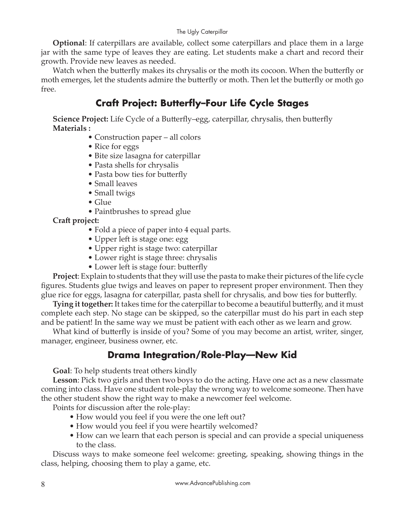**Optional**: If caterpillars are available, collect some caterpillars and place them in a large jar with the same type of leaves they are eating. Let students make a chart and record their growth. Provide new leaves as needed.

Watch when the butterfly makes its chrysalis or the moth its cocoon. When the butterfly or moth emerges, let the students admire the butterfly or moth. Then let the butterfly or moth go free.

### **Craft Project: Butterfly–Four Life Cycle Stages**

**Science Project:** Life Cycle of a Butterfly–egg, caterpillar, chrysalis, then butterfly **Materials :**

- Construction paper all colors
- Rice for eggs
- Bite size lasagna for caterpillar
- Pasta shells for chrysalis
- Pasta bow ties for butterfly
- Small leaves
- Small twigs
- Glue
- Paintbrushes to spread glue

Craft project:

- Fold a piece of paper into 4 equal parts.
- Upper left is stage one: egg
- Upper right is stage two: caterpillar
- Lower right is stage three: chrysalis
- Lower left is stage four: butterfly

**Project**: Explain to students that they will use the pasta to make their pictures of the life cycle figures. Students glue twigs and leaves on paper to represent proper environment. Then they glue rice for eggs, lasagna for caterpillar, pasta shell for chrysalis, and bow ties for bu�erfly.

**Tying it together:** It takes time for the caterpillar to become a beautiful butterfly, and it must complete each step. No stage can be skipped, so the caterpillar must do his part in each step and be patient! In the same way we must be patient with each other as we learn and grow.

What kind of butterfly is inside of you? Some of you may become an artist, writer, singer, manager, engineer, business owner, etc.

#### **Drama Integration/Role-Play—New Kid**

**Goal**: To help students treat others kindly

**Lesson**: Pick two girls and then two boys to do the acting. Have one act as a new classmate coming into class. Have one student role-play the wrong way to welcome someone. Then have the other student show the right way to make a newcomer feel welcome.

Points for discussion after the role-play:

- How would you feel if you were the one left out?
- How would you feel if you were heartily welcomed?
- How can we learn that each person is special and can provide a special uniqueness to the class.

Discuss ways to make someone feel welcome: greeting, speaking, showing things in the class, helping, choosing them to play a game, etc.